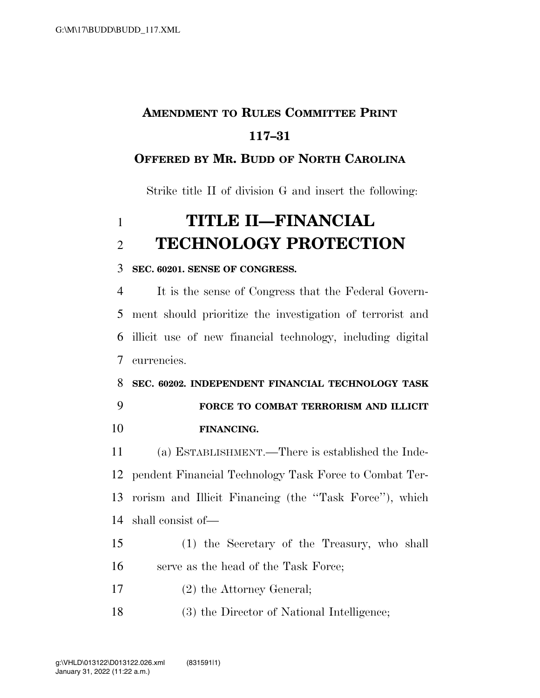# **AMENDMENT TO RULES COMMITTEE PRINT 117–31**

### **OFFERED BY MR. BUDD OF NORTH CAROLINA**

Strike title II of division G and insert the following:

# **TITLE II—FINANCIAL TECHNOLOGY PROTECTION**

**SEC. 60201. SENSE OF CONGRESS.** 

 It is the sense of Congress that the Federal Govern- ment should prioritize the investigation of terrorist and illicit use of new financial technology, including digital currencies.

 **SEC. 60202. INDEPENDENT FINANCIAL TECHNOLOGY TASK FORCE TO COMBAT TERRORISM AND ILLICIT FINANCING.** 

 (a) ESTABLISHMENT.—There is established the Inde- pendent Financial Technology Task Force to Combat Ter- rorism and Illicit Financing (the ''Task Force''), which shall consist of—

- (1) the Secretary of the Treasury, who shall 16 serve as the head of the Task Force;
- (2) the Attorney General;
- (3) the Director of National Intelligence;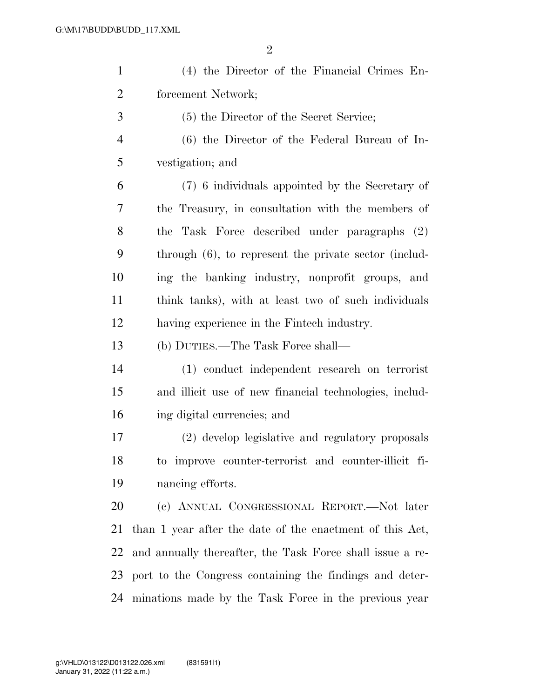| $\mathbf{1}$   | (4) the Director of the Financial Crimes En-              |
|----------------|-----------------------------------------------------------|
| $\overline{2}$ | forcement Network;                                        |
| 3              | (5) the Director of the Secret Service;                   |
| 4              | $(6)$ the Director of the Federal Bureau of In-           |
| 5              | vestigation; and                                          |
| 6              | (7) 6 individuals appointed by the Secretary of           |
| 7              | the Treasury, in consultation with the members of         |
| 8              | Task Force described under paragraphs (2)<br>the          |
| 9              | through $(6)$ , to represent the private sector (includ-  |
| 10             | ing the banking industry, nonprofit groups, and           |
| 11             | think tanks), with at least two of such individuals       |
| 12             | having experience in the Fintech industry.                |
| 13             | (b) DUTIES.—The Task Force shall—                         |
| 14             | (1) conduct independent research on terrorist             |
| 15             | and illicit use of new financial technologies, includ-    |
| 16             | ing digital currencies; and                               |
| 17             | (2) develop legislative and regulatory proposals          |
| 18             | to improve counter-terrorist and counter-illicit fi-      |
| 19             | nancing efforts.                                          |
| 20             | (c) ANNUAL CONGRESSIONAL REPORT.-Not later                |
| 21             | than 1 year after the date of the enactment of this Act,  |
| 22             | and annually thereafter, the Task Force shall issue a re- |
| 23             | port to the Congress containing the findings and deter-   |
| 24             | minations made by the Task Force in the previous year     |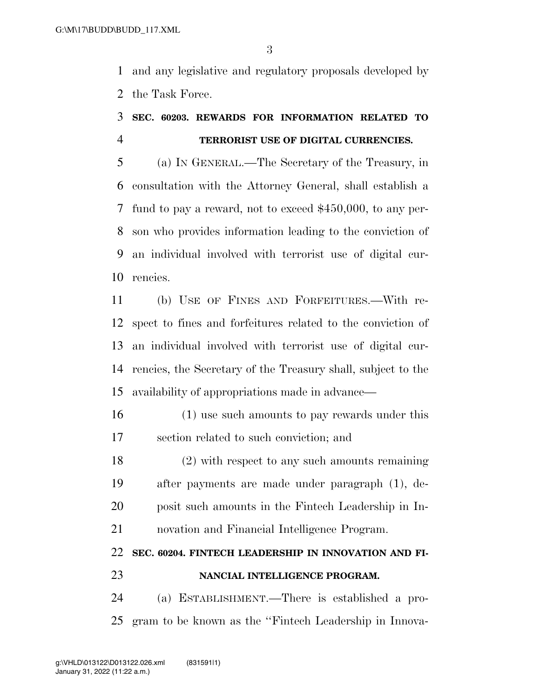and any legislative and regulatory proposals developed by the Task Force.

### **SEC. 60203. REWARDS FOR INFORMATION RELATED TO TERRORIST USE OF DIGITAL CURRENCIES.**

 (a) IN GENERAL.—The Secretary of the Treasury, in consultation with the Attorney General, shall establish a fund to pay a reward, not to exceed \$450,000, to any per- son who provides information leading to the conviction of an individual involved with terrorist use of digital cur-rencies.

 (b) USE OF FINES AND FORFEITURES.—With re- spect to fines and forfeitures related to the conviction of an individual involved with terrorist use of digital cur- rencies, the Secretary of the Treasury shall, subject to the availability of appropriations made in advance—

 (1) use such amounts to pay rewards under this section related to such conviction; and

 (2) with respect to any such amounts remaining after payments are made under paragraph (1), de- posit such amounts in the Fintech Leadership in In-novation and Financial Intelligence Program.

## **SEC. 60204. FINTECH LEADERSHIP IN INNOVATION AND FI-**

#### **NANCIAL INTELLIGENCE PROGRAM.**

 (a) ESTABLISHMENT.—There is established a pro-gram to be known as the ''Fintech Leadership in Innova-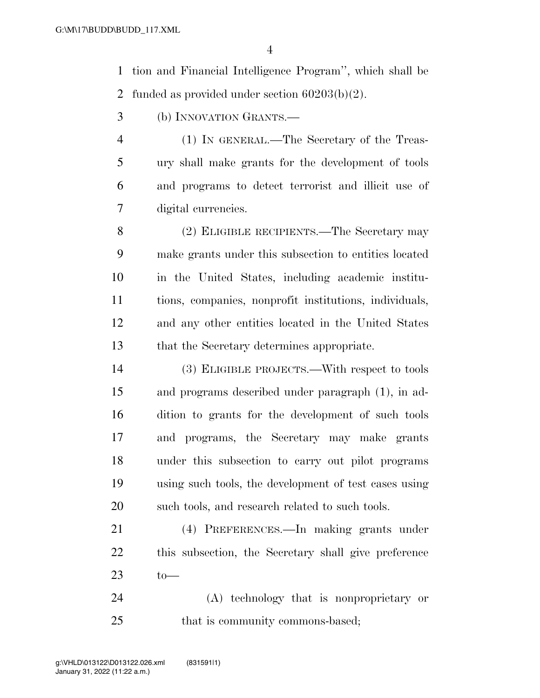tion and Financial Intelligence Program'', which shall be funded as provided under section 60203(b)(2).

- (b) INNOVATION GRANTS.—
- (1) IN GENERAL.—The Secretary of the Treas- ury shall make grants for the development of tools and programs to detect terrorist and illicit use of digital currencies.

 (2) ELIGIBLE RECIPIENTS.—The Secretary may make grants under this subsection to entities located in the United States, including academic institu- tions, companies, nonprofit institutions, individuals, and any other entities located in the United States that the Secretary determines appropriate.

 (3) ELIGIBLE PROJECTS.—With respect to tools and programs described under paragraph (1), in ad- dition to grants for the development of such tools and programs, the Secretary may make grants under this subsection to carry out pilot programs using such tools, the development of test cases using 20 such tools, and research related to such tools.

 (4) PREFERENCES.—In making grants under this subsection, the Secretary shall give preference 23  $t_0$ —

 (A) technology that is nonproprietary or 25 that is community commons-based;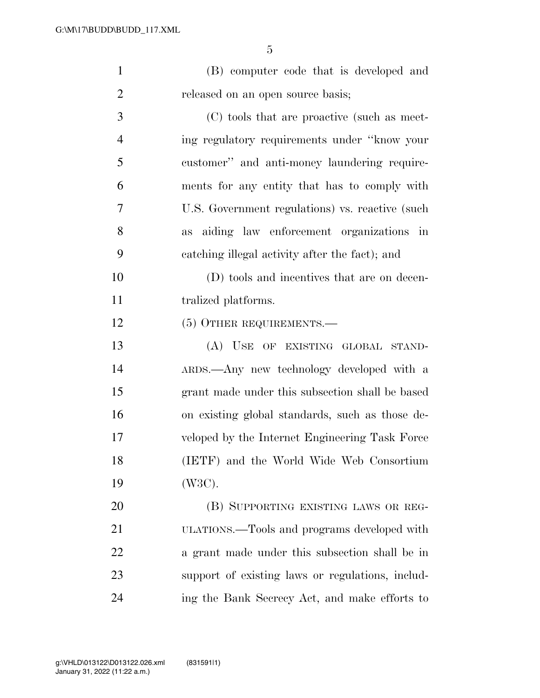| $\mathbf{1}$   | (B) computer code that is developed and          |
|----------------|--------------------------------------------------|
| $\overline{2}$ | released on an open source basis;                |
| 3              | (C) tools that are proactive (such as meet-      |
| $\overline{4}$ | ing regulatory requirements under "know your     |
| 5              | customer" and anti-money laundering require-     |
| 6              | ments for any entity that has to comply with     |
| 7              | U.S. Government regulations) vs. reactive (such  |
| 8              | aiding law enforcement organizations in<br>as    |
| 9              | catching illegal activity after the fact); and   |
| 10             | (D) tools and incentives that are on decen-      |
| 11             | tralized platforms.                              |
| 12             | (5) OTHER REQUIREMENTS.—                         |
| 13             | (A) USE OF EXISTING GLOBAL STAND-                |
| 14             | ARDS.—Any new technology developed with a        |
| 15             | grant made under this subsection shall be based  |
| 16             | on existing global standards, such as those de-  |
| 17             | veloped by the Internet Engineering Task Force   |
| 18             | (IETF) and the World Wide Web Consortium         |
| 19             | $(W3C)$ .                                        |
| 20             | (B) SUPPORTING EXISTING LAWS OR REG-             |
| 21             | ULATIONS.—Tools and programs developed with      |
| 22             | a grant made under this subsection shall be in   |
| 23             | support of existing laws or regulations, includ- |
| 24             | ing the Bank Secrecy Act, and make efforts to    |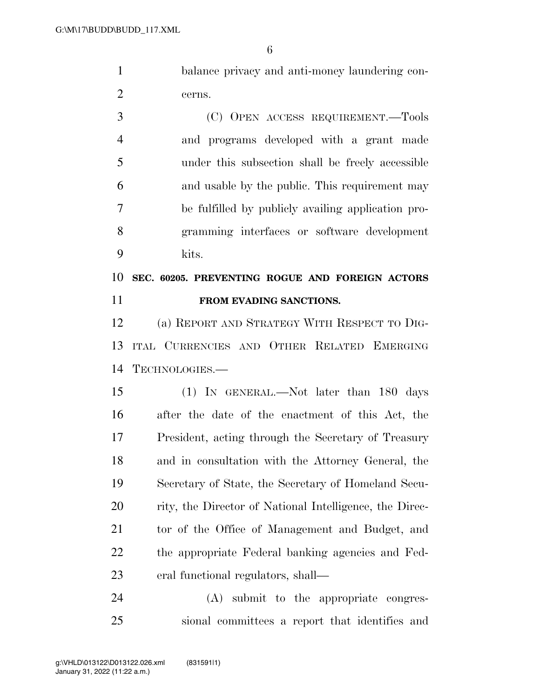balance privacy and anti-money laundering con-cerns.

 (C) OPEN ACCESS REQUIREMENT.—Tools and programs developed with a grant made under this subsection shall be freely accessible and usable by the public. This requirement may be fulfilled by publicly availing application pro- gramming interfaces or software development kits.

 **SEC. 60205. PREVENTING ROGUE AND FOREIGN ACTORS FROM EVADING SANCTIONS.** 

 (a) REPORT AND STRATEGY WITH RESPECT TO DIG- ITAL CURRENCIES AND OTHER RELATED EMERGING TECHNOLOGIES.—

 (1) IN GENERAL.—Not later than 180 days after the date of the enactment of this Act, the President, acting through the Secretary of Treasury and in consultation with the Attorney General, the Secretary of State, the Secretary of Homeland Secu-20 rity, the Director of National Intelligence, the Direc-21 to to the Office of Management and Budget, and the appropriate Federal banking agencies and Fed-eral functional regulators, shall—

 (A) submit to the appropriate congres-sional committees a report that identifies and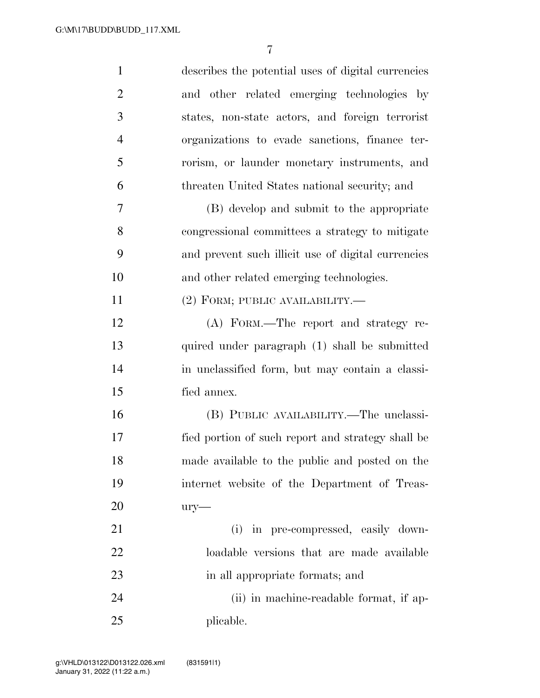| $\mathbf{1}$   | describes the potential uses of digital currencies |
|----------------|----------------------------------------------------|
| $\overline{2}$ | and other related emerging technologies by         |
| 3              | states, non-state actors, and foreign terrorist    |
| $\overline{4}$ | organizations to evade sanctions, finance ter-     |
| 5              | rorism, or launder monetary instruments, and       |
| 6              | threaten United States national security; and      |
| 7              | (B) develop and submit to the appropriate          |
| 8              | congressional committees a strategy to mitigate    |
| 9              | and prevent such illicit use of digital currencies |
| 10             | and other related emerging technologies.           |
| 11             | (2) FORM; PUBLIC AVAILABILITY.-                    |
| 12             | (A) FORM.—The report and strategy re-              |
| 13             | quired under paragraph (1) shall be submitted      |
| 14             | in unclassified form, but may contain a classi-    |
| 15             | fied annex.                                        |
| 16             | (B) PUBLIC AVAILABILITY.—The unclassi-             |
| 17             | fied portion of such report and strategy shall be  |
| 18             | made available to the public and posted on the     |
| 19             | internet website of the Department of Treas-       |
| 20             | $ury-$                                             |
| 21             | (i) in pre-compressed, easily down-                |
| 22             | loadable versions that are made available          |
| 23             | in all appropriate formats; and                    |
| 24             | (ii) in machine-readable format, if ap-            |
| 25             | plicable.                                          |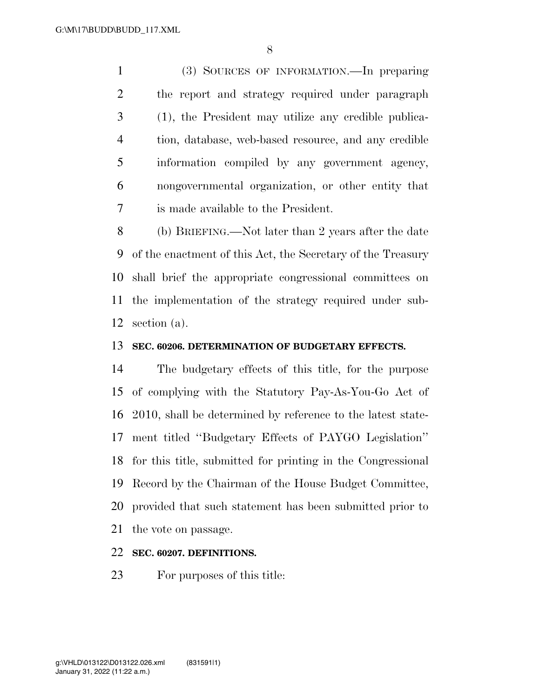(3) SOURCES OF INFORMATION.—In preparing 2 the report and strategy required under paragraph (1), the President may utilize any credible publica- tion, database, web-based resource, and any credible information compiled by any government agency, nongovernmental organization, or other entity that is made available to the President.

 (b) BRIEFING.—Not later than 2 years after the date of the enactment of this Act, the Secretary of the Treasury shall brief the appropriate congressional committees on the implementation of the strategy required under sub-section (a).

#### **SEC. 60206. DETERMINATION OF BUDGETARY EFFECTS.**

 The budgetary effects of this title, for the purpose of complying with the Statutory Pay-As-You-Go Act of 2010, shall be determined by reference to the latest state- ment titled ''Budgetary Effects of PAYGO Legislation'' for this title, submitted for printing in the Congressional Record by the Chairman of the House Budget Committee, provided that such statement has been submitted prior to the vote on passage.

#### **SEC. 60207. DEFINITIONS.**

For purposes of this title: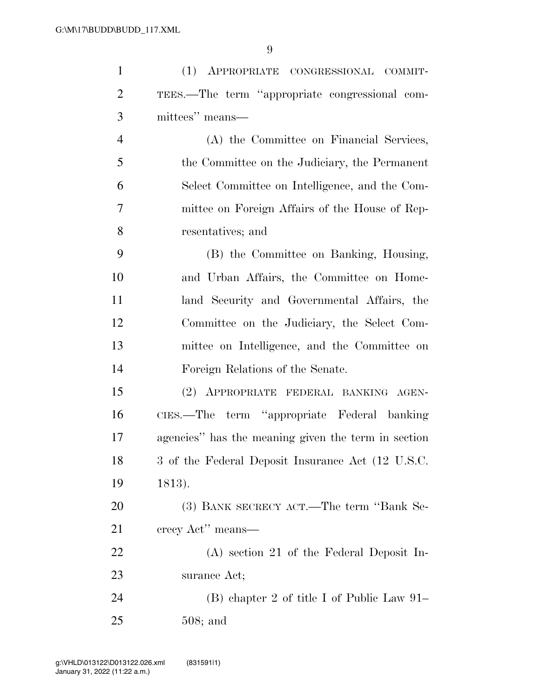| $\mathbf{1}$   | (1) APPROPRIATE CONGRESSIONAL COMMIT-               |
|----------------|-----------------------------------------------------|
| $\overline{2}$ | TEES.—The term "appropriate congressional com-      |
| 3              | mittees" means—                                     |
| $\overline{4}$ | (A) the Committee on Financial Services,            |
| 5              | the Committee on the Judiciary, the Permanent       |
| 6              | Select Committee on Intelligence, and the Com-      |
| 7              | mittee on Foreign Affairs of the House of Rep-      |
| 8              | resentatives; and                                   |
| 9              | (B) the Committee on Banking, Housing,              |
| 10             | and Urban Affairs, the Committee on Home-           |
| 11             | land Security and Governmental Affairs, the         |
| 12             | Committee on the Judiciary, the Select Com-         |
| 13             | mittee on Intelligence, and the Committee on        |
| 14             | Foreign Relations of the Senate.                    |
| 15             | (2) APPROPRIATE FEDERAL BANKING AGEN-               |
| 16             | CIES.—The term "appropriate Federal banking"        |
| 17             | agencies" has the meaning given the term in section |
| 18             | 3 of the Federal Deposit Insurance Act (12 U.S.C.   |
| 19             | 1813).                                              |
| 20             | (3) BANK SECRECY ACT.—The term "Bank Se-            |
| 21             | crecy Act" means—                                   |
| 22             | $(A)$ section 21 of the Federal Deposit In-         |
| 23             | surance Act;                                        |
| 24             | $(B)$ chapter 2 of title I of Public Law 91–        |
| 25             | $508;$ and                                          |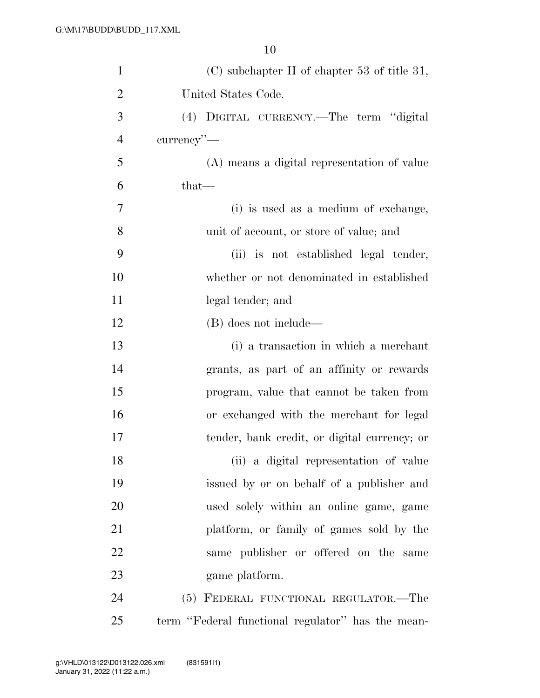| $\mathbf{1}$   | $(C)$ subchapter II of chapter 53 of title 31,    |
|----------------|---------------------------------------------------|
| $\overline{2}$ | United States Code.                               |
| 3              | (4) DIGITAL CURRENCY.—The term "digital           |
| $\overline{4}$ | $\text{currency}$ $\sim$                          |
| 5              | (A) means a digital representation of value       |
| 6              | $that-$                                           |
| 7              | (i) is used as a medium of exchange,              |
| 8              | unit of account, or store of value; and           |
| 9              | (ii) is not established legal tender,             |
| 10             | whether or not denominated in established         |
| 11             | legal tender; and                                 |
| 12             | (B) does not include—                             |
| 13             | (i) a transaction in which a merchant             |
| 14             | grants, as part of an affinity or rewards         |
| 15             | program, value that cannot be taken from          |
| 16             | or exchanged with the merchant for legal          |
| 17             | tender, bank credit, or digital currency; or      |
| 18             | (ii) a digital representation of value            |
| 19             | issued by or on behalf of a publisher and         |
| 20             | used solely within an online game, game           |
| 21             | platform, or family of games sold by the          |
| 22             | same publisher or offered on the same             |
| 23             | game platform.                                    |
| 24             | (5) FEDERAL FUNCTIONAL REGULATOR.—The             |
| 25             | term "Federal functional regulator" has the mean- |